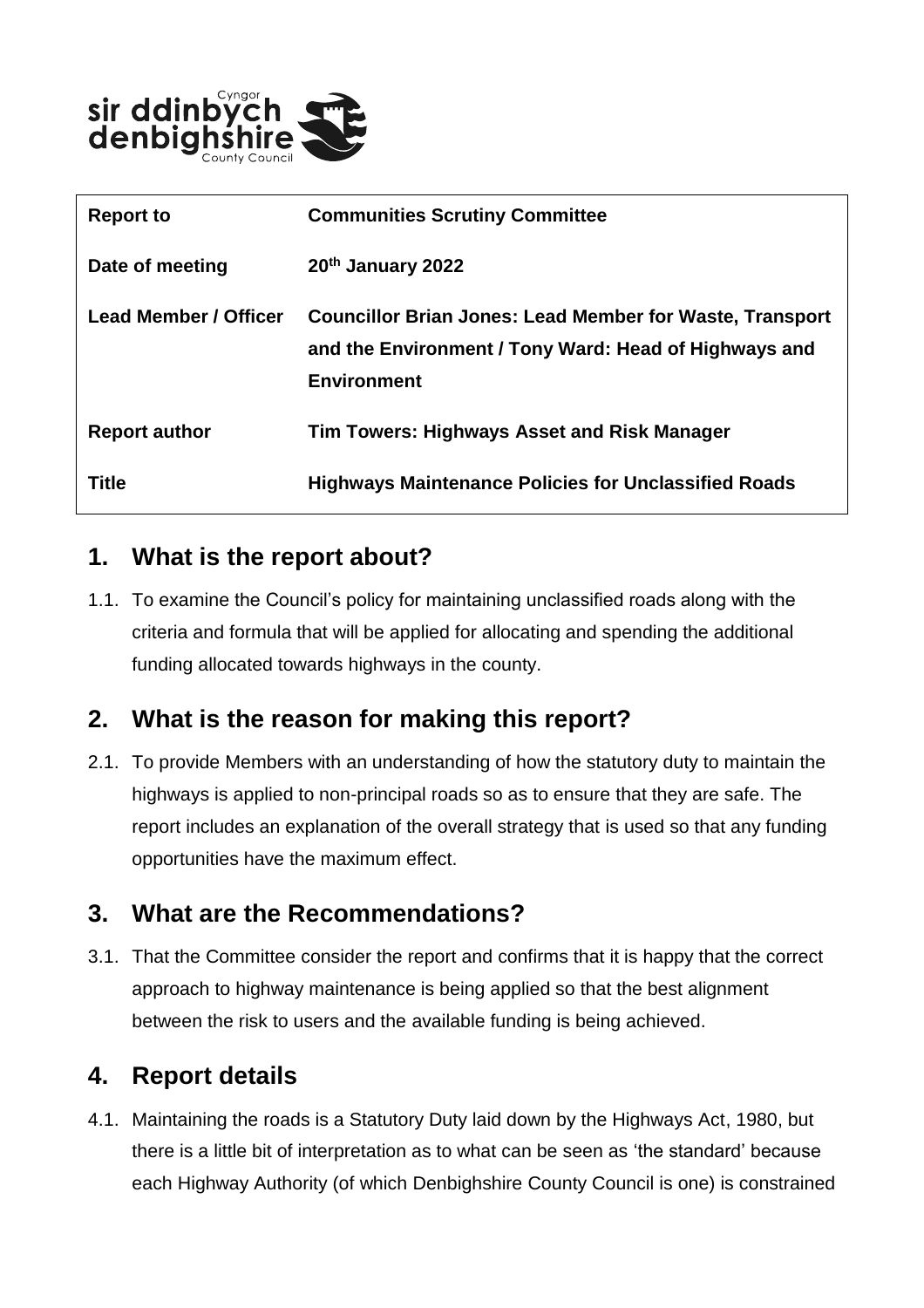

| <b>Report to</b>             | <b>Communities Scrutiny Committee</b>                                                                                                          |  |  |
|------------------------------|------------------------------------------------------------------------------------------------------------------------------------------------|--|--|
| Date of meeting              | 20th January 2022                                                                                                                              |  |  |
| <b>Lead Member / Officer</b> | <b>Councillor Brian Jones: Lead Member for Waste, Transport</b><br>and the Environment / Tony Ward: Head of Highways and<br><b>Environment</b> |  |  |
| <b>Report author</b>         | <b>Tim Towers: Highways Asset and Risk Manager</b>                                                                                             |  |  |
| Title                        | <b>Highways Maintenance Policies for Unclassified Roads</b>                                                                                    |  |  |

#### **1. What is the report about?**

1.1. To examine the Council's policy for maintaining unclassified roads along with the criteria and formula that will be applied for allocating and spending the additional funding allocated towards highways in the county.

# **2. What is the reason for making this report?**

2.1. To provide Members with an understanding of how the statutory duty to maintain the highways is applied to non-principal roads so as to ensure that they are safe. The report includes an explanation of the overall strategy that is used so that any funding opportunities have the maximum effect.

#### **3. What are the Recommendations?**

3.1. That the Committee consider the report and confirms that it is happy that the correct approach to highway maintenance is being applied so that the best alignment between the risk to users and the available funding is being achieved.

# **4. Report details**

4.1. Maintaining the roads is a Statutory Duty laid down by the Highways Act, 1980, but there is a little bit of interpretation as to what can be seen as 'the standard' because each Highway Authority (of which Denbighshire County Council is one) is constrained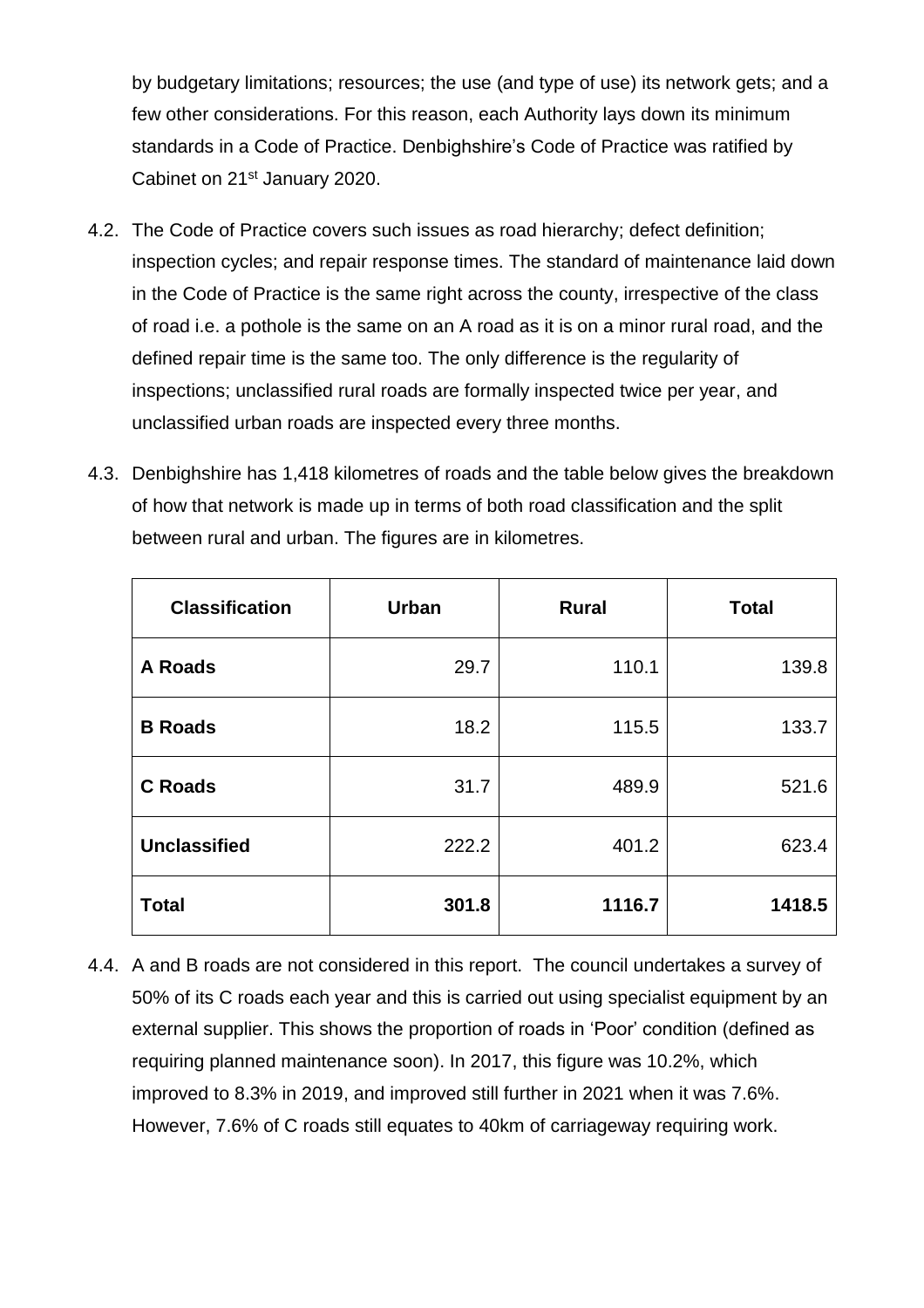by budgetary limitations; resources; the use (and type of use) its network gets; and a few other considerations. For this reason, each Authority lays down its minimum standards in a Code of Practice. Denbighshire's Code of Practice was ratified by Cabinet on 21<sup>st</sup> January 2020.

- 4.2. The Code of Practice covers such issues as road hierarchy; defect definition; inspection cycles; and repair response times. The standard of maintenance laid down in the Code of Practice is the same right across the county, irrespective of the class of road i.e. a pothole is the same on an A road as it is on a minor rural road, and the defined repair time is the same too. The only difference is the regularity of inspections; unclassified rural roads are formally inspected twice per year, and unclassified urban roads are inspected every three months.
- 4.3. Denbighshire has 1,418 kilometres of roads and the table below gives the breakdown of how that network is made up in terms of both road classification and the split between rural and urban. The figures are in kilometres.

| <b>Classification</b> | <b>Urban</b> | <b>Rural</b> | <b>Total</b> |
|-----------------------|--------------|--------------|--------------|
| <b>A Roads</b>        | 29.7         | 110.1        | 139.8        |
| <b>B</b> Roads        | 18.2         | 115.5        | 133.7        |
| <b>C</b> Roads        | 31.7         | 489.9        | 521.6        |
| <b>Unclassified</b>   | 222.2        | 401.2        | 623.4        |
| <b>Total</b>          | 301.8        | 1116.7       | 1418.5       |

4.4. A and B roads are not considered in this report. The council undertakes a survey of 50% of its C roads each year and this is carried out using specialist equipment by an external supplier. This shows the proportion of roads in 'Poor' condition (defined as requiring planned maintenance soon). In 2017, this figure was 10.2%, which improved to 8.3% in 2019, and improved still further in 2021 when it was 7.6%. However, 7.6% of C roads still equates to 40km of carriageway requiring work.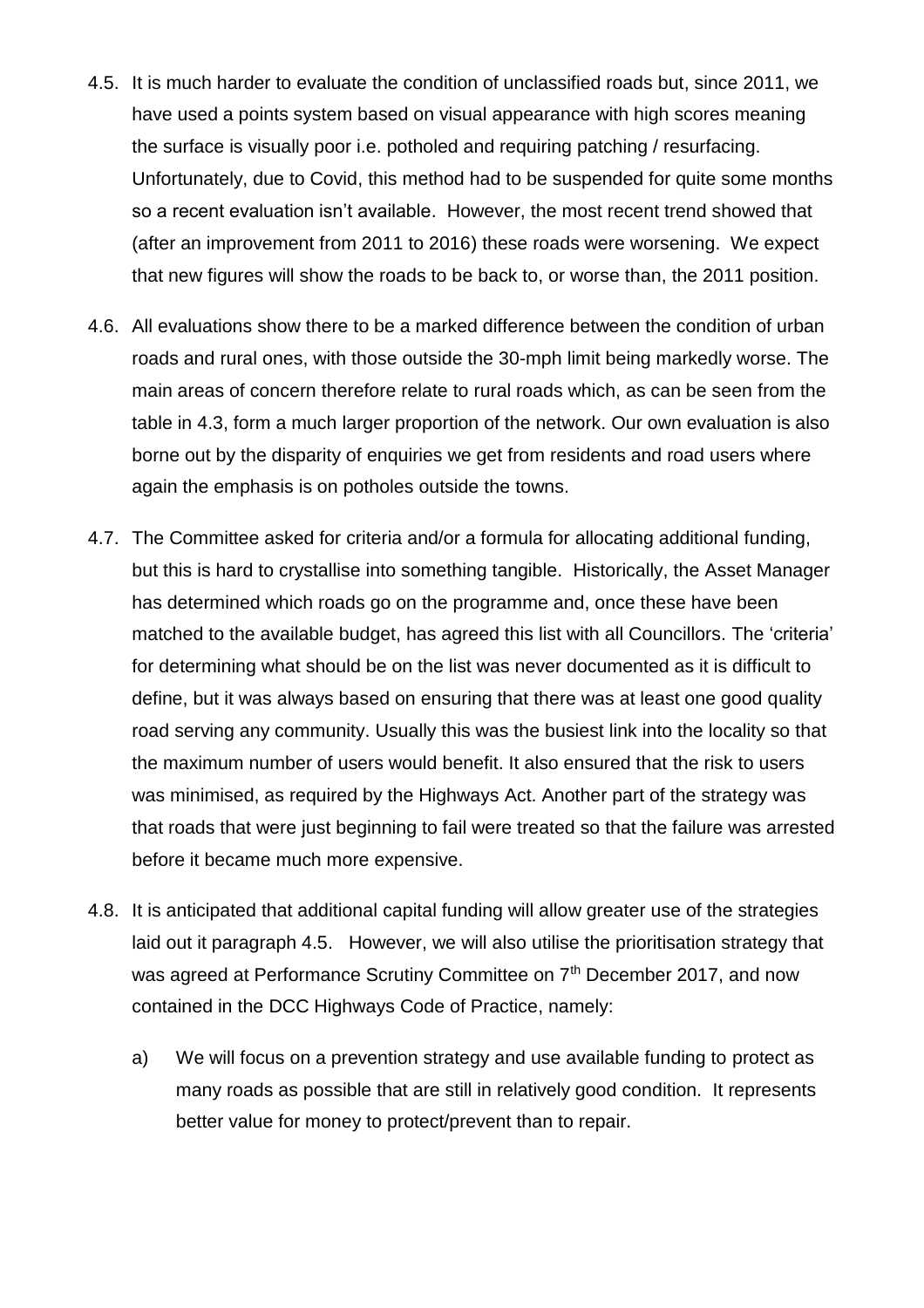- 4.5. It is much harder to evaluate the condition of unclassified roads but, since 2011, we have used a points system based on visual appearance with high scores meaning the surface is visually poor i.e. potholed and requiring patching / resurfacing. Unfortunately, due to Covid, this method had to be suspended for quite some months so a recent evaluation isn't available. However, the most recent trend showed that (after an improvement from 2011 to 2016) these roads were worsening. We expect that new figures will show the roads to be back to, or worse than, the 2011 position.
- 4.6. All evaluations show there to be a marked difference between the condition of urban roads and rural ones, with those outside the 30-mph limit being markedly worse. The main areas of concern therefore relate to rural roads which, as can be seen from the table in 4.3, form a much larger proportion of the network. Our own evaluation is also borne out by the disparity of enquiries we get from residents and road users where again the emphasis is on potholes outside the towns.
- 4.7. The Committee asked for criteria and/or a formula for allocating additional funding, but this is hard to crystallise into something tangible. Historically, the Asset Manager has determined which roads go on the programme and, once these have been matched to the available budget, has agreed this list with all Councillors. The 'criteria' for determining what should be on the list was never documented as it is difficult to define, but it was always based on ensuring that there was at least one good quality road serving any community. Usually this was the busiest link into the locality so that the maximum number of users would benefit. It also ensured that the risk to users was minimised, as required by the Highways Act. Another part of the strategy was that roads that were just beginning to fail were treated so that the failure was arrested before it became much more expensive.
- 4.8. It is anticipated that additional capital funding will allow greater use of the strategies laid out it paragraph 4.5. However, we will also utilise the prioritisation strategy that was agreed at Performance Scrutiny Committee on 7<sup>th</sup> December 2017, and now contained in the DCC Highways Code of Practice, namely:
	- a) We will focus on a prevention strategy and use available funding to protect as many roads as possible that are still in relatively good condition. It represents better value for money to protect/prevent than to repair.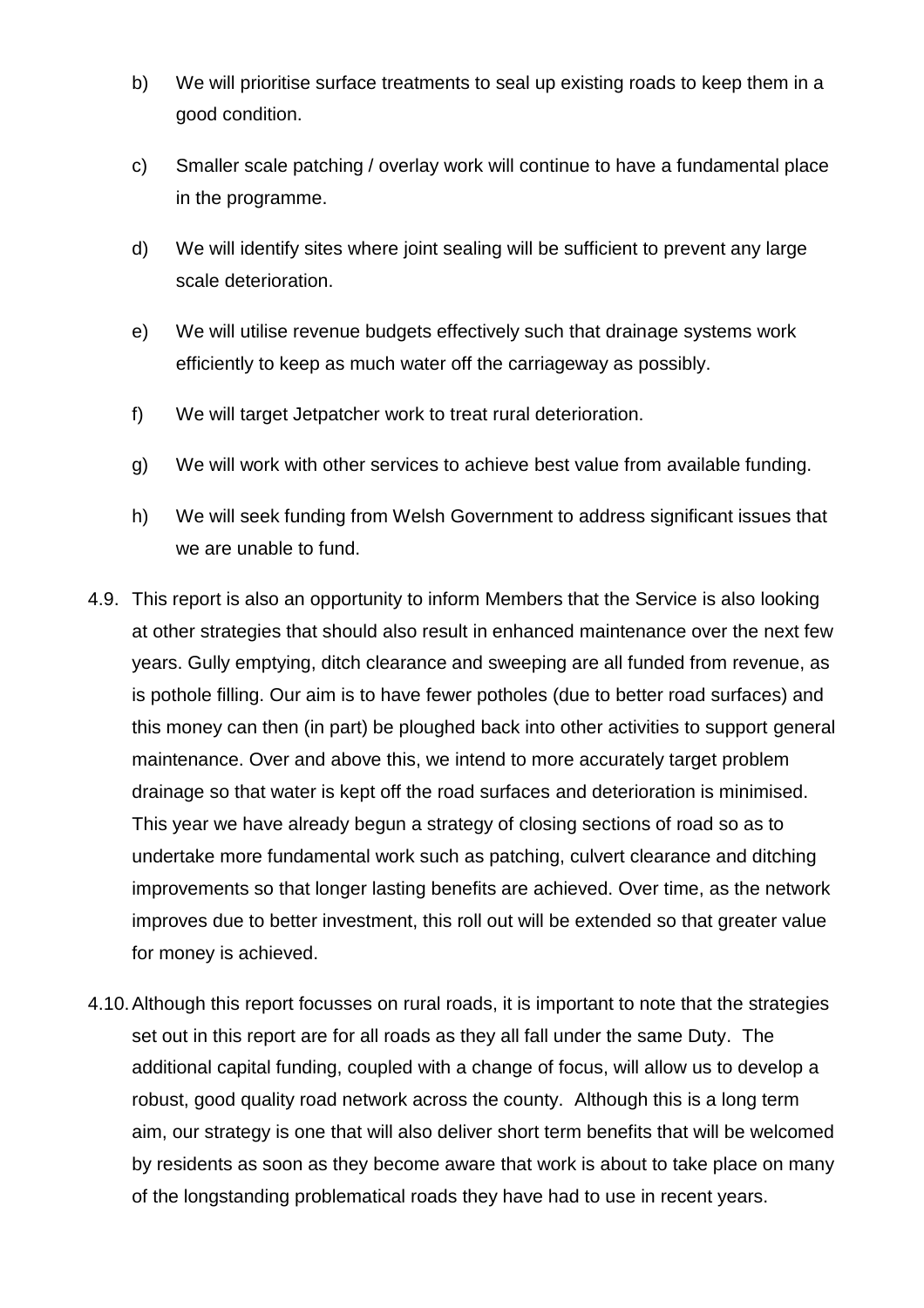- b) We will prioritise surface treatments to seal up existing roads to keep them in a good condition.
- c) Smaller scale patching / overlay work will continue to have a fundamental place in the programme.
- d) We will identify sites where joint sealing will be sufficient to prevent any large scale deterioration.
- e) We will utilise revenue budgets effectively such that drainage systems work efficiently to keep as much water off the carriageway as possibly.
- f) We will target Jetpatcher work to treat rural deterioration.
- g) We will work with other services to achieve best value from available funding.
- h) We will seek funding from Welsh Government to address significant issues that we are unable to fund.
- 4.9. This report is also an opportunity to inform Members that the Service is also looking at other strategies that should also result in enhanced maintenance over the next few years. Gully emptying, ditch clearance and sweeping are all funded from revenue, as is pothole filling. Our aim is to have fewer potholes (due to better road surfaces) and this money can then (in part) be ploughed back into other activities to support general maintenance. Over and above this, we intend to more accurately target problem drainage so that water is kept off the road surfaces and deterioration is minimised. This year we have already begun a strategy of closing sections of road so as to undertake more fundamental work such as patching, culvert clearance and ditching improvements so that longer lasting benefits are achieved. Over time, as the network improves due to better investment, this roll out will be extended so that greater value for money is achieved.
- 4.10.Although this report focusses on rural roads, it is important to note that the strategies set out in this report are for all roads as they all fall under the same Duty. The additional capital funding, coupled with a change of focus, will allow us to develop a robust, good quality road network across the county. Although this is a long term aim, our strategy is one that will also deliver short term benefits that will be welcomed by residents as soon as they become aware that work is about to take place on many of the longstanding problematical roads they have had to use in recent years.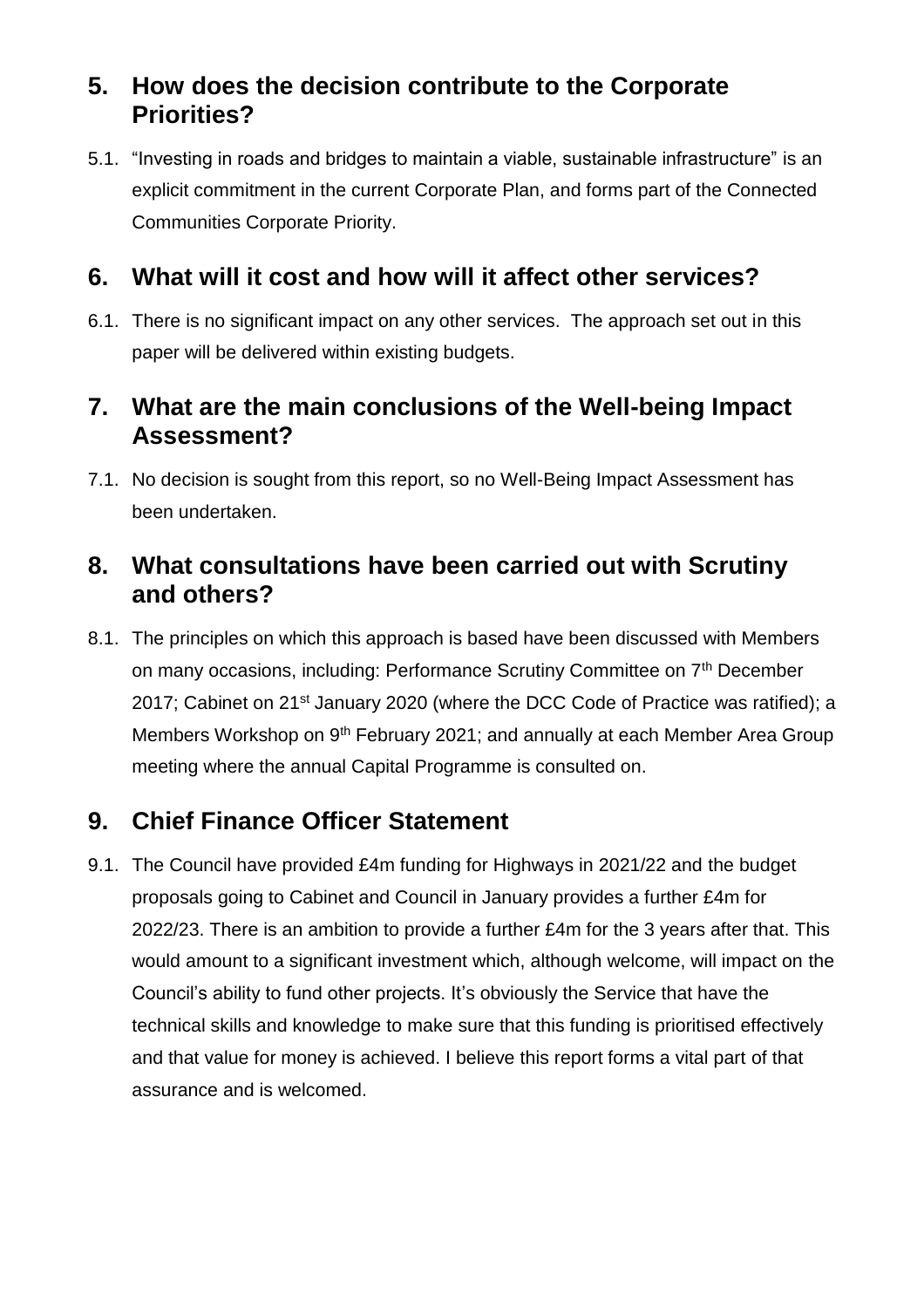# **5. How does the decision contribute to the Corporate Priorities?**

5.1. "Investing in roads and bridges to maintain a viable, sustainable infrastructure" is an explicit commitment in the current Corporate Plan, and forms part of the Connected Communities Corporate Priority.

### **6. What will it cost and how will it affect other services?**

6.1. There is no significant impact on any other services. The approach set out in this paper will be delivered within existing budgets.

#### **7. What are the main conclusions of the Well-being Impact Assessment?**

7.1. No decision is sought from this report, so no Well-Being Impact Assessment has been undertaken.

# **8. What consultations have been carried out with Scrutiny and others?**

8.1. The principles on which this approach is based have been discussed with Members on many occasions, including: Performance Scrutiny Committee on 7<sup>th</sup> December 2017; Cabinet on 21<sup>st</sup> January 2020 (where the DCC Code of Practice was ratified); a Members Workshop on 9<sup>th</sup> February 2021; and annually at each Member Area Group meeting where the annual Capital Programme is consulted on.

# **9. Chief Finance Officer Statement**

9.1. The Council have provided £4m funding for Highways in 2021/22 and the budget proposals going to Cabinet and Council in January provides a further £4m for 2022/23. There is an ambition to provide a further £4m for the 3 years after that. This would amount to a significant investment which, although welcome, will impact on the Council's ability to fund other projects. It's obviously the Service that have the technical skills and knowledge to make sure that this funding is prioritised effectively and that value for money is achieved. I believe this report forms a vital part of that assurance and is welcomed.